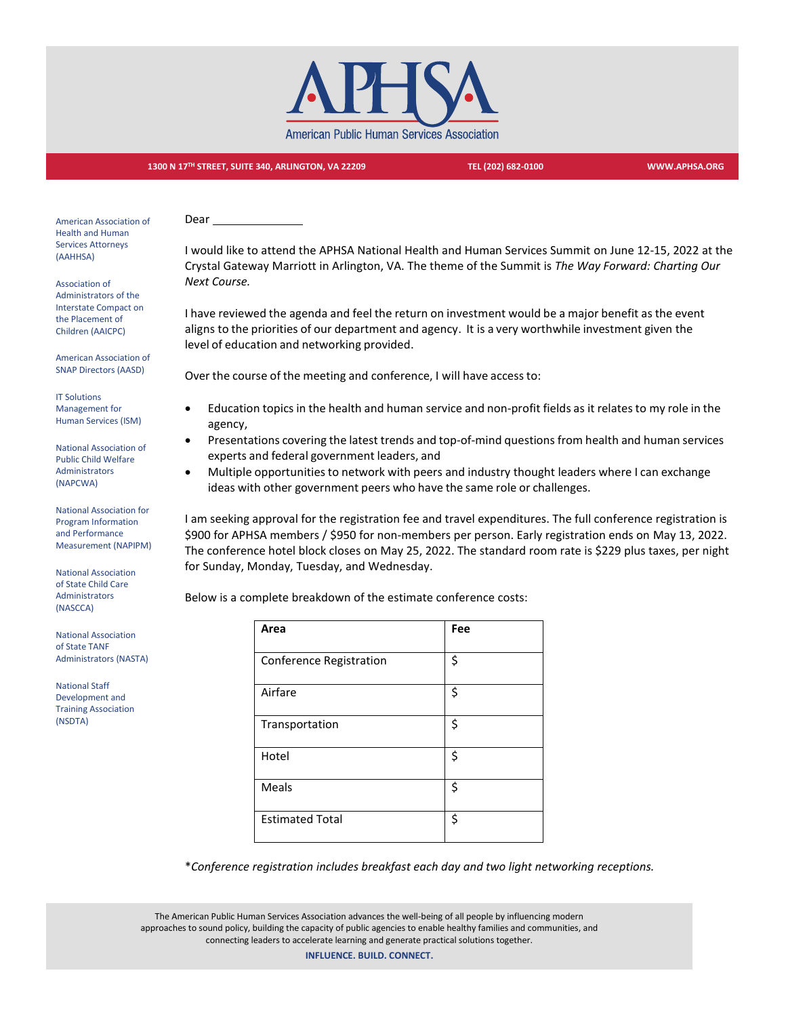

## **1300 N 17TH STREET, SUITE 340, ARLINGTON, VA 22209 TEL (202) 682-0100 WWW.APHSA.ORG**

American Association of Health and Human Services Attorneys (AAHHSA)

Association of Administrators of the Interstate Compact on the Placement of Children (AAICPC)

American Association of SNAP Directors (AASD)

**IT Solutions** Management for Human Services (ISM)

National Association of Public Child Welfare Administrators (NAPCWA)

National Association for Program Information and Performance Measurement (NAPIPM)

National Association of State Child Care Administrators (NASCCA)

National Association of State TANF Administrators (NASTA)

National Staff Development and Training Association (NSDTA)

Dear

I would like to attend the APHSA National Health and Human Services Summit on June 12-15, 2022 at the Crystal Gateway Marriott in Arlington, VA. The theme of the Summit is *The Way Forward: Charting Our Next Course.*

I have reviewed the agenda and feel the return on investment would be a major benefit as the event aligns to the priorities of our department and agency. It is a very worthwhile investment given the level of education and networking provided.

Over the course of the meeting and conference, I will have access to:

- Education topics in the health and human service and non-profit fields as it relates to my role in the agency,
- Presentations covering the latest trends and top-of-mind questions from health and human services experts and federal government leaders, and
- Multiple opportunities to network with peers and industry thought leaders where I can exchange ideas with other government peers who have the same role or challenges.

I am seeking approval for the registration fee and travel expenditures. The full conference registration is \$900 for APHSA members / \$950 for non-members per person. Early registration ends on May 13, 2022. The conference hotel block closes on May 25, 2022. The standard room rate is \$229 plus taxes, per night for Sunday, Monday, Tuesday, and Wednesday.

Below is a complete breakdown of the estimate conference costs:

| Area                           | Fee |
|--------------------------------|-----|
| <b>Conference Registration</b> | \$  |
| Airfare                        | \$  |
| Transportation                 | \$  |
| Hotel                          | \$  |
| Meals                          | \$  |
| <b>Estimated Total</b>         | \$  |

\**Conference registration includes breakfast each day and two light networking receptions.* 

The American Public Human Services Association advances the well-being of all people by influencing modern approaches to sound policy, building the capacity of public agencies to enable healthy families and communities, and connecting leaders to accelerate learning and generate practical solutions together.